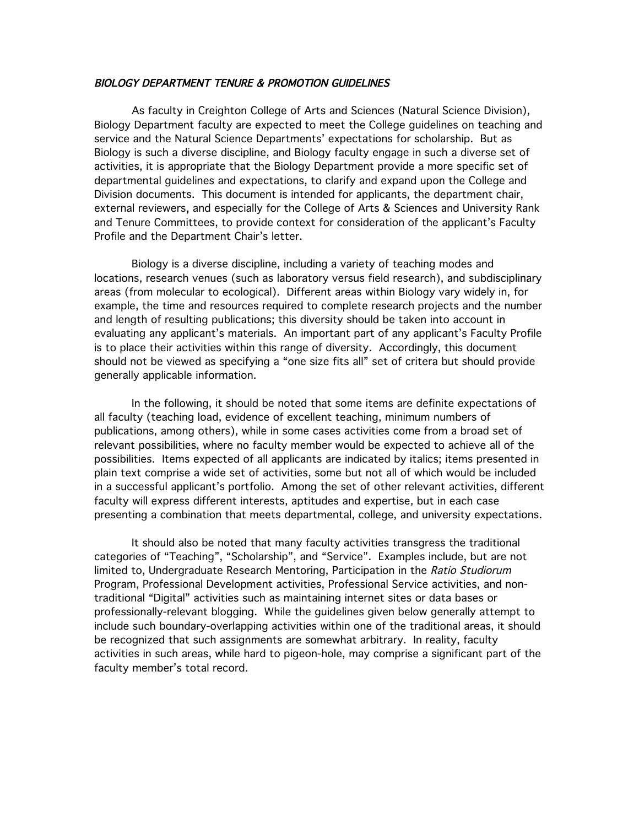### BIOLOGY DEPARTMENT TENURE & PROMOTION GUIDELINES

 As faculty in Creighton College of Arts and Sciences (Natural Science Division), Biology Department faculty are expected to meet the College guidelines on teaching and service and the Natural Science Departments' expectations for scholarship. But as Biology is such a diverse discipline, and Biology faculty engage in such a diverse set of activities, it is appropriate that the Biology Department provide a more specific set of departmental guidelines and expectations, to clarify and expand upon the College and Division documents. This document is intended for applicants, the department chair, external reviewers, and especially for the College of Arts & Sciences and University Rank and Tenure Committees, to provide context for consideration of the applicant's Faculty Profile and the Department Chair's letter.

Biology is a diverse discipline, including a variety of teaching modes and locations, research venues (such as laboratory versus field research), and subdisciplinary areas (from molecular to ecological). Different areas within Biology vary widely in, for example, the time and resources required to complete research projects and the number and length of resulting publications; this diversity should be taken into account in evaluating any applicant's materials. An important part of any applicant's Faculty Profile is to place their activities within this range of diversity. Accordingly, this document should not be viewed as specifying a "one size fits all" set of critera but should provide generally applicable information.

In the following, it should be noted that some items are definite expectations of all faculty (teaching load, evidence of excellent teaching, minimum numbers of publications, among others), while in some cases activities come from a broad set of relevant possibilities, where no faculty member would be expected to achieve all of the possibilities. Items expected of all applicants are indicated by italics; items presented in plain text comprise a wide set of activities, some but not all of which would be included in a successful applicant's portfolio. Among the set of other relevant activities, different faculty will express different interests, aptitudes and expertise, but in each case presenting a combination that meets departmental, college, and university expectations.

It should also be noted that many faculty activities transgress the traditional categories of "Teaching", "Scholarship", and "Service". Examples include, but are not limited to, Undergraduate Research Mentoring, Participation in the Ratio Studiorum Program, Professional Development activities, Professional Service activities, and nontraditional "Digital" activities such as maintaining internet sites or data bases or professionally-relevant blogging. While the guidelines given below generally attempt to include such boundary-overlapping activities within one of the traditional areas, it should be recognized that such assignments are somewhat arbitrary. In reality, faculty activities in such areas, while hard to pigeon-hole, may comprise a significant part of the faculty member's total record.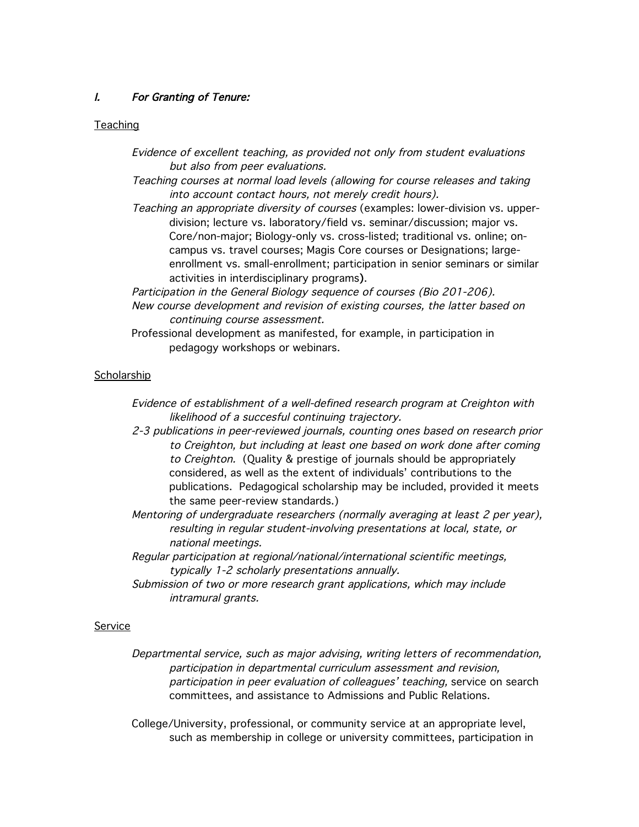# I. For Granting of Tenure:

### **Teaching**

- Evidence of excellent teaching, as provided not only from student evaluations but also from peer evaluations.
- Teaching courses at normal load levels (allowing for course releases and taking into account contact hours, not merely credit hours).
- Teaching an appropriate diversity of courses (examples: lower-division vs. upperdivision; lecture vs. laboratory/field vs. seminar/discussion; major vs. Core/non-major; Biology-only vs. cross-listed; traditional vs. online; oncampus vs. travel courses; Magis Core courses or Designations; largeenrollment vs. small-enrollment; participation in senior seminars or similar activities in interdisciplinary programs).
- Participation in the General Biology sequence of courses (Bio 201-206). New course development and revision of existing courses, the latter based on continuing course assessment.
- Professional development as manifested, for example, in participation in pedagogy workshops or webinars.

### **Scholarship**

- Evidence of establishment of a well-defined research program at Creighton with likelihood of a succesful continuing trajectory.
- 2-3 publications in peer-reviewed journals, counting ones based on research prior to Creighton, but including at least one based on work done after coming to Creighton. (Quality & prestige of journals should be appropriately considered, as well as the extent of individuals' contributions to the publications. Pedagogical scholarship may be included, provided it meets the same peer-review standards.)
- Mentoring of undergraduate researchers (normally averaging at least 2 per year), resulting in regular student-involving presentations at local, state, or national meetings.
- Regular participation at regional/national/international scientific meetings, typically 1-2 scholarly presentations annually.
- Submission of two or more research grant applications, which may include intramural grants.

### Service

Departmental service, such as major advising, writing letters of recommendation, participation in departmental curriculum assessment and revision, participation in peer evaluation of colleagues' teaching, service on search committees, and assistance to Admissions and Public Relations.

College/University, professional, or community service at an appropriate level, such as membership in college or university committees, participation in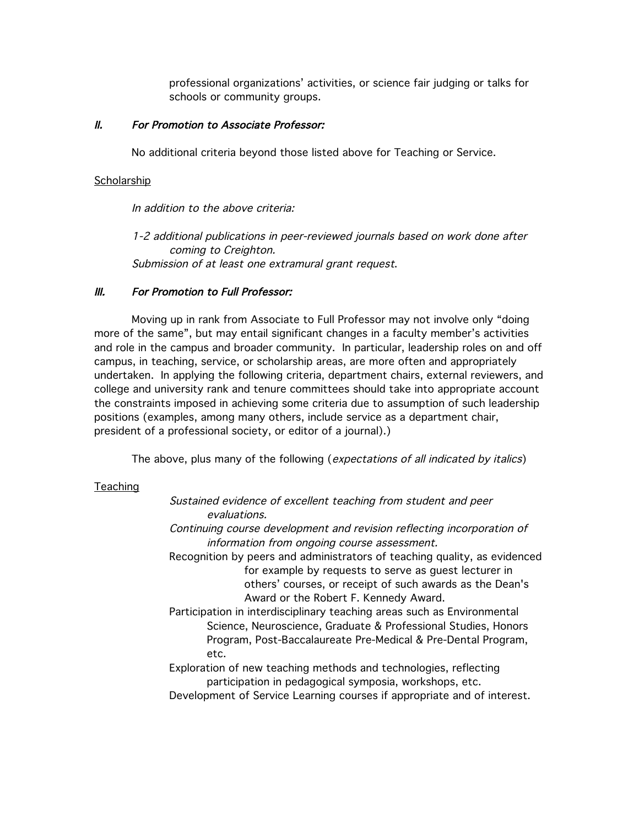professional organizations' activities, or science fair judging or talks for schools or community groups.

## II. For Promotion to Associate Professor:

No additional criteria beyond those listed above for Teaching or Service.

## **Scholarship**

In addition to the above criteria:

1-2 additional publications in peer-reviewed journals based on work done after coming to Creighton. Submission of at least one extramural grant request.

# III. For Promotion to Full Professor:

Moving up in rank from Associate to Full Professor may not involve only "doing more of the same", but may entail significant changes in a faculty member's activities and role in the campus and broader community. In particular, leadership roles on and off campus, in teaching, service, or scholarship areas, are more often and appropriately undertaken. In applying the following criteria, department chairs, external reviewers, and college and university rank and tenure committees should take into appropriate account the constraints imposed in achieving some criteria due to assumption of such leadership positions (examples, among many others, include service as a department chair, president of a professional society, or editor of a journal).)

The above, plus many of the following (expectations of all indicated by italics)

## **Teaching**

| Sustained evidence of excellent teaching from student and peer            |
|---------------------------------------------------------------------------|
| evaluations.                                                              |
| Continuing course development and revision reflecting incorporation of    |
| information from ongoing course assessment.                               |
| Recognition by peers and administrators of teaching quality, as evidenced |
| for example by requests to serve as guest lecturer in                     |
| others' courses, or receipt of such awards as the Dean's                  |
| Award or the Robert F. Kennedy Award.                                     |
| Participation in interdisciplinary teaching areas such as Environmental   |
| Science, Neuroscience, Graduate & Professional Studies, Honors            |
| Program, Post-Baccalaureate Pre-Medical & Pre-Dental Program,             |
| etc.                                                                      |
| Exploration of new teaching methods and technologies, reflecting          |
| participation in pedagogical symposia, workshops, etc.                    |
| Development of Service Learning courses if appropriate and of interest.   |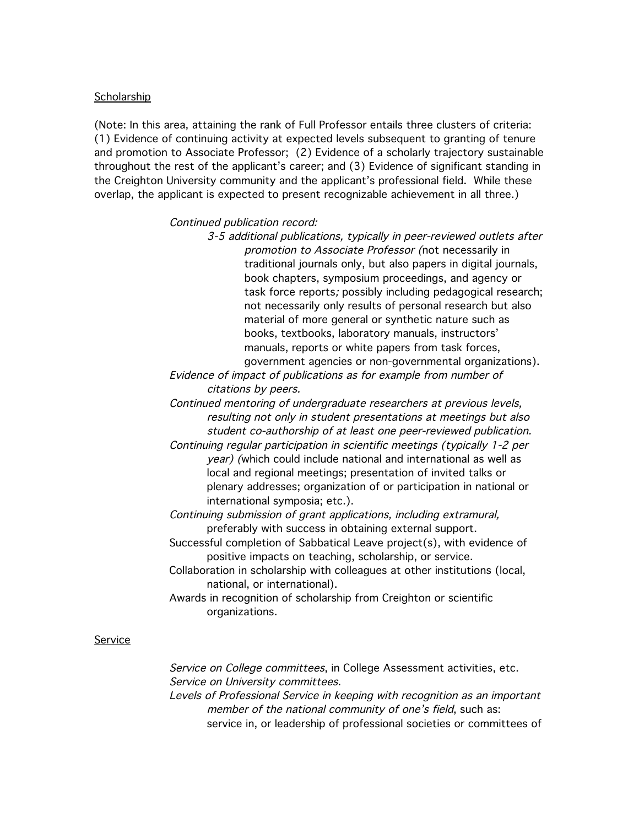### **Scholarship**

(Note: In this area, attaining the rank of Full Professor entails three clusters of criteria: (1) Evidence of continuing activity at expected levels subsequent to granting of tenure and promotion to Associate Professor; (2) Evidence of a scholarly trajectory sustainable throughout the rest of the applicant's career; and (3) Evidence of significant standing in the Creighton University community and the applicant's professional field. While these overlap, the applicant is expected to present recognizable achievement in all three.)

Continued publication record:

3-5 additional publications, typically in peer-reviewed outlets after promotion to Associate Professor (not necessarily in traditional journals only, but also papers in digital journals, book chapters, symposium proceedings, and agency or task force reports; possibly including pedagogical research; not necessarily only results of personal research but also material of more general or synthetic nature such as books, textbooks, laboratory manuals, instructors' manuals, reports or white papers from task forces, government agencies or non-governmental organizations).

Evidence of impact of publications as for example from number of citations by peers.

Continued mentoring of undergraduate researchers at previous levels, resulting not only in student presentations at meetings but also student co-authorship of at least one peer-reviewed publication.

Continuing regular participation in scientific meetings (typically 1-2 per year) (which could include national and international as well as local and regional meetings; presentation of invited talks or plenary addresses; organization of or participation in national or international symposia; etc.).

Continuing submission of grant applications, including extramural, preferably with success in obtaining external support.

Successful completion of Sabbatical Leave project(s), with evidence of positive impacts on teaching, scholarship, or service.

Collaboration in scholarship with colleagues at other institutions (local, national, or international).

Awards in recognition of scholarship from Creighton or scientific organizations.

### Service

Service on College committees, in College Assessment activities, etc. Service on University committees.

Levels of Professional Service in keeping with recognition as an important member of the national community of one's field, such as: service in, or leadership of professional societies or committees of